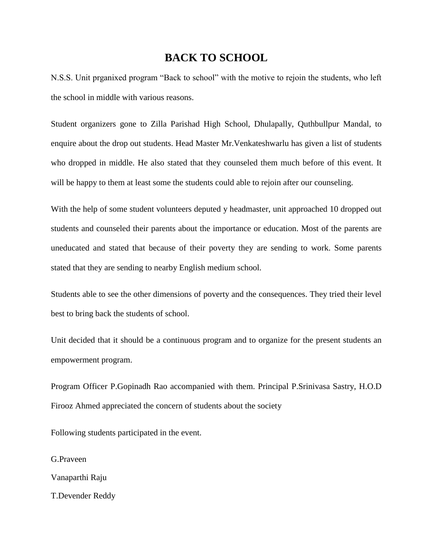## **BACK TO SCHOOL**

N.S.S. Unit prganixed program "Back to school" with the motive to rejoin the students, who left the school in middle with various reasons.

Student organizers gone to Zilla Parishad High School, Dhulapally, Quthbullpur Mandal, to enquire about the drop out students. Head Master Mr.Venkateshwarlu has given a list of students who dropped in middle. He also stated that they counseled them much before of this event. It will be happy to them at least some the students could able to rejoin after our counseling.

With the help of some student volunteers deputed y headmaster, unit approached 10 dropped out students and counseled their parents about the importance or education. Most of the parents are uneducated and stated that because of their poverty they are sending to work. Some parents stated that they are sending to nearby English medium school.

Students able to see the other dimensions of poverty and the consequences. They tried their level best to bring back the students of school.

Unit decided that it should be a continuous program and to organize for the present students an empowerment program.

Program Officer P.Gopinadh Rao accompanied with them. Principal P.Srinivasa Sastry, H.O.D Firooz Ahmed appreciated the concern of students about the society

Following students participated in the event.

G.Praveen Vanaparthi Raju T.Devender Reddy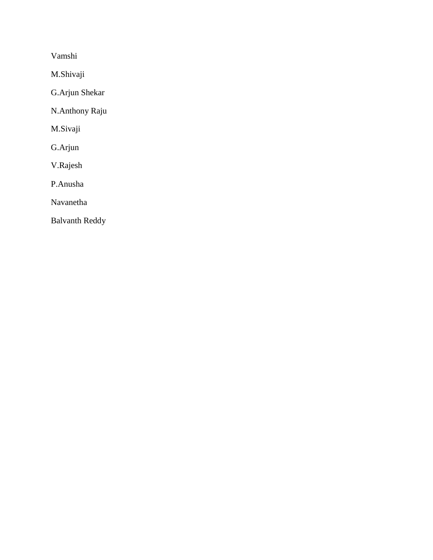Vamshi

M.Shivaji

G.Arjun Shekar

N.Anthony Raju

M.Sivaji

G.Arjun

V.Rajesh

P.Anusha

Navanetha

Balvanth Reddy